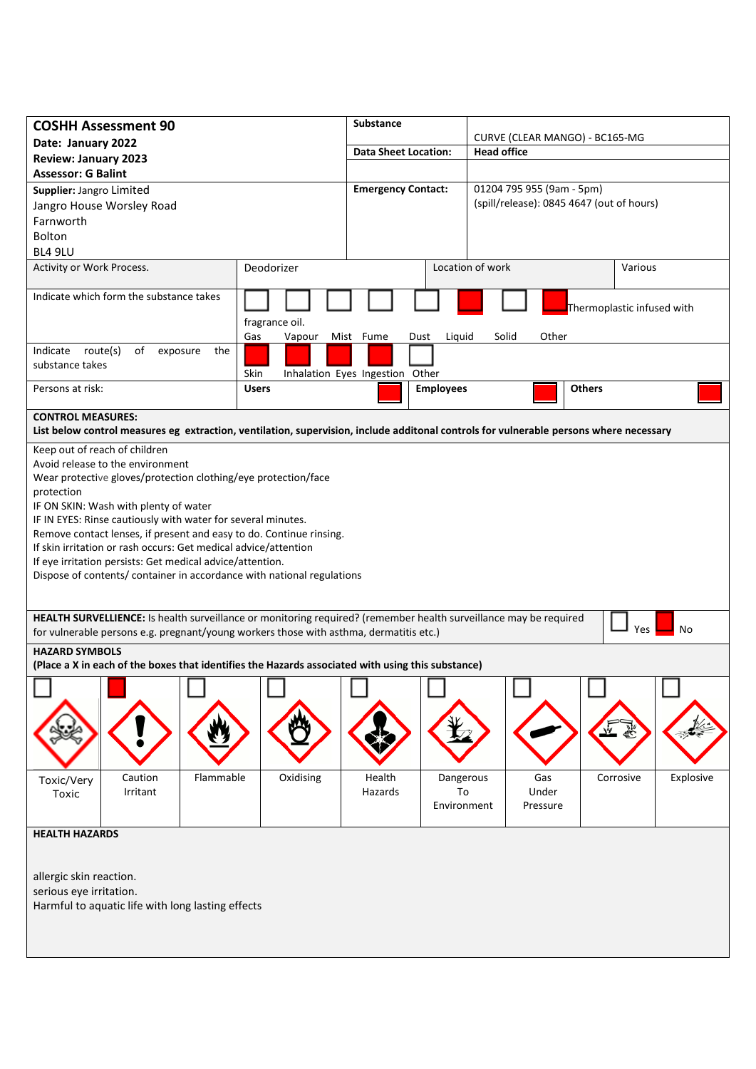| <b>COSHH Assessment 90</b>                                                                                                             |                |           |                |                                 | <b>Substance</b> |           |                                           |                           |                                |                  |  |       |          |               |           |           |  |
|----------------------------------------------------------------------------------------------------------------------------------------|----------------|-----------|----------------|---------------------------------|------------------|-----------|-------------------------------------------|---------------------------|--------------------------------|------------------|--|-------|----------|---------------|-----------|-----------|--|
| Date: January 2022                                                                                                                     |                |           |                |                                 |                  |           |                                           |                           | CURVE (CLEAR MANGO) - BC165-MG |                  |  |       |          |               |           |           |  |
| <b>Review: January 2023</b>                                                                                                            |                |           |                | <b>Data Sheet Location:</b>     |                  |           |                                           | <b>Head office</b>        |                                |                  |  |       |          |               |           |           |  |
| <b>Assessor: G Balint</b>                                                                                                              |                |           |                |                                 |                  |           |                                           |                           |                                |                  |  |       |          |               |           |           |  |
| Supplier: Jangro Limited                                                                                                               |                |           |                | <b>Emergency Contact:</b>       |                  |           |                                           | 01204 795 955 (9am - 5pm) |                                |                  |  |       |          |               |           |           |  |
| Jangro House Worsley Road                                                                                                              |                |           |                |                                 |                  |           | (spill/release): 0845 4647 (out of hours) |                           |                                |                  |  |       |          |               |           |           |  |
| Farnworth                                                                                                                              |                |           |                |                                 |                  |           |                                           |                           |                                |                  |  |       |          |               |           |           |  |
| Bolton                                                                                                                                 |                |           |                |                                 |                  |           |                                           |                           |                                |                  |  |       |          |               |           |           |  |
| BL4 9LU                                                                                                                                |                |           |                |                                 |                  |           |                                           |                           |                                |                  |  |       |          |               |           |           |  |
| Activity or Work Process.                                                                                                              |                |           | Deodorizer     |                                 |                  |           |                                           |                           |                                | Location of work |  |       |          |               | Various   |           |  |
| Indicate which form the substance takes                                                                                                |                |           |                |                                 |                  |           |                                           |                           | Thermoplastic infused with     |                  |  |       |          |               |           |           |  |
|                                                                                                                                        |                |           | fragrance oil. |                                 |                  |           |                                           |                           |                                |                  |  |       |          |               |           |           |  |
|                                                                                                                                        |                |           | Gas            | Vapour                          |                  | Mist Fume |                                           | Dust                      |                                | Liquid           |  | Solid | Other    |               |           |           |  |
| route(s)<br>Indicate                                                                                                                   | of<br>exposure | the       |                |                                 |                  |           |                                           |                           |                                |                  |  |       |          |               |           |           |  |
| substance takes                                                                                                                        |                |           | Skin           | Inhalation Eyes Ingestion Other |                  |           |                                           |                           |                                |                  |  |       |          |               |           |           |  |
| Persons at risk:                                                                                                                       |                |           | <b>Users</b>   |                                 |                  |           |                                           |                           |                                | <b>Employees</b> |  |       |          | <b>Others</b> |           |           |  |
|                                                                                                                                        |                |           |                |                                 |                  |           |                                           |                           |                                |                  |  |       |          |               |           |           |  |
| <b>CONTROL MEASURES:</b>                                                                                                               |                |           |                |                                 |                  |           |                                           |                           |                                |                  |  |       |          |               |           |           |  |
| List below control measures eg extraction, ventilation, supervision, include additonal controls for vulnerable persons where necessary |                |           |                |                                 |                  |           |                                           |                           |                                |                  |  |       |          |               |           |           |  |
| Keep out of reach of children                                                                                                          |                |           |                |                                 |                  |           |                                           |                           |                                |                  |  |       |          |               |           |           |  |
| Avoid release to the environment                                                                                                       |                |           |                |                                 |                  |           |                                           |                           |                                |                  |  |       |          |               |           |           |  |
| Wear protective gloves/protection clothing/eye protection/face                                                                         |                |           |                |                                 |                  |           |                                           |                           |                                |                  |  |       |          |               |           |           |  |
| protection                                                                                                                             |                |           |                |                                 |                  |           |                                           |                           |                                |                  |  |       |          |               |           |           |  |
| IF ON SKIN: Wash with plenty of water                                                                                                  |                |           |                |                                 |                  |           |                                           |                           |                                |                  |  |       |          |               |           |           |  |
| IF IN EYES: Rinse cautiously with water for several minutes.                                                                           |                |           |                |                                 |                  |           |                                           |                           |                                |                  |  |       |          |               |           |           |  |
| Remove contact lenses, if present and easy to do. Continue rinsing.                                                                    |                |           |                |                                 |                  |           |                                           |                           |                                |                  |  |       |          |               |           |           |  |
| If skin irritation or rash occurs: Get medical advice/attention                                                                        |                |           |                |                                 |                  |           |                                           |                           |                                |                  |  |       |          |               |           |           |  |
| If eye irritation persists: Get medical advice/attention.                                                                              |                |           |                |                                 |                  |           |                                           |                           |                                |                  |  |       |          |               |           |           |  |
| Dispose of contents/ container in accordance with national regulations                                                                 |                |           |                |                                 |                  |           |                                           |                           |                                |                  |  |       |          |               |           |           |  |
|                                                                                                                                        |                |           |                |                                 |                  |           |                                           |                           |                                |                  |  |       |          |               |           |           |  |
|                                                                                                                                        |                |           |                |                                 |                  |           |                                           |                           |                                |                  |  |       |          |               |           |           |  |
| HEALTH SURVELLIENCE: Is health surveillance or monitoring required? (remember health surveillance may be required                      |                |           |                |                                 |                  |           |                                           |                           |                                |                  |  |       |          |               |           |           |  |
| Yes<br>No<br>for vulnerable persons e.g. pregnant/young workers those with asthma, dermatitis etc.)                                    |                |           |                |                                 |                  |           |                                           |                           |                                |                  |  |       |          |               |           |           |  |
| <b>HAZARD SYMBOLS</b>                                                                                                                  |                |           |                |                                 |                  |           |                                           |                           |                                |                  |  |       |          |               |           |           |  |
| (Place a X in each of the boxes that identifies the Hazards associated with using this substance)                                      |                |           |                |                                 |                  |           |                                           |                           |                                |                  |  |       |          |               |           |           |  |
|                                                                                                                                        |                |           |                |                                 |                  |           |                                           |                           |                                |                  |  |       |          |               |           |           |  |
|                                                                                                                                        |                |           |                |                                 |                  |           |                                           |                           |                                |                  |  |       |          |               |           |           |  |
|                                                                                                                                        |                |           |                |                                 |                  |           |                                           |                           |                                |                  |  |       |          |               |           |           |  |
|                                                                                                                                        |                |           |                |                                 |                  |           |                                           |                           |                                |                  |  |       |          |               |           |           |  |
|                                                                                                                                        |                |           |                |                                 |                  |           |                                           |                           |                                |                  |  |       |          |               |           |           |  |
|                                                                                                                                        |                |           |                |                                 |                  |           |                                           |                           |                                |                  |  |       |          |               |           |           |  |
| Toxic/Very                                                                                                                             | Caution        | Flammable |                | Oxidising                       |                  |           | Health                                    |                           |                                | Dangerous        |  |       | Gas      |               | Corrosive | Explosive |  |
| Toxic                                                                                                                                  | Irritant       |           |                |                                 |                  |           | Hazards                                   |                           |                                | To               |  |       | Under    |               |           |           |  |
|                                                                                                                                        |                |           |                |                                 |                  |           |                                           |                           |                                | Environment      |  |       | Pressure |               |           |           |  |
|                                                                                                                                        |                |           |                |                                 |                  |           |                                           |                           |                                |                  |  |       |          |               |           |           |  |
| <b>HEALTH HAZARDS</b>                                                                                                                  |                |           |                |                                 |                  |           |                                           |                           |                                |                  |  |       |          |               |           |           |  |
|                                                                                                                                        |                |           |                |                                 |                  |           |                                           |                           |                                |                  |  |       |          |               |           |           |  |
|                                                                                                                                        |                |           |                |                                 |                  |           |                                           |                           |                                |                  |  |       |          |               |           |           |  |
| allergic skin reaction.                                                                                                                |                |           |                |                                 |                  |           |                                           |                           |                                |                  |  |       |          |               |           |           |  |
| serious eye irritation.                                                                                                                |                |           |                |                                 |                  |           |                                           |                           |                                |                  |  |       |          |               |           |           |  |
| Harmful to aquatic life with long lasting effects                                                                                      |                |           |                |                                 |                  |           |                                           |                           |                                |                  |  |       |          |               |           |           |  |
|                                                                                                                                        |                |           |                |                                 |                  |           |                                           |                           |                                |                  |  |       |          |               |           |           |  |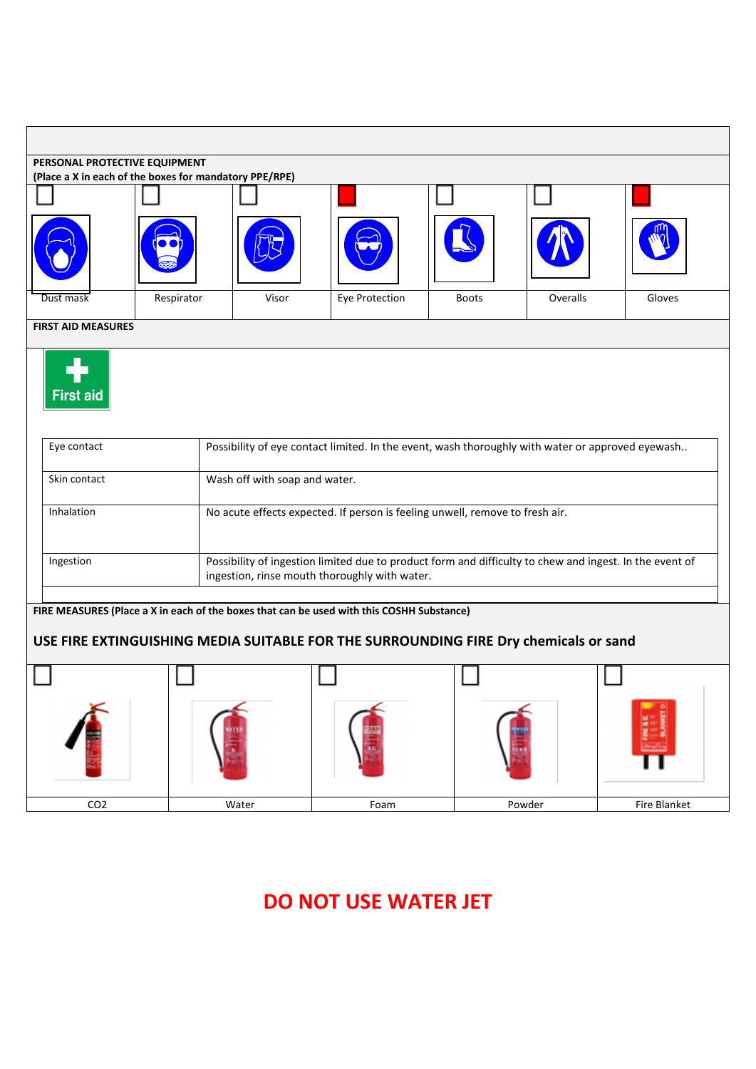| PERSONAL PROTECTIVE EQUIPMENT<br>(Place a X in each of the boxes for mandatory PPE/RPE) |                           |                                                                                                                                                          |                                                                                           |              |          |              |  |  |  |  |
|-----------------------------------------------------------------------------------------|---------------------------|----------------------------------------------------------------------------------------------------------------------------------------------------------|-------------------------------------------------------------------------------------------|--------------|----------|--------------|--|--|--|--|
|                                                                                         |                           |                                                                                                                                                          |                                                                                           |              |          |              |  |  |  |  |
|                                                                                         |                           |                                                                                                                                                          |                                                                                           |              |          |              |  |  |  |  |
| Dust mask                                                                               | Respirator                | Visor                                                                                                                                                    | Eye Protection                                                                            | <b>Boots</b> | Overalls | Gloves       |  |  |  |  |
|                                                                                         | <b>FIRST AID MEASURES</b> |                                                                                                                                                          |                                                                                           |              |          |              |  |  |  |  |
| <b>First aid</b>                                                                        |                           |                                                                                                                                                          |                                                                                           |              |          |              |  |  |  |  |
| Eye contact                                                                             |                           | Possibility of eye contact limited. In the event, wash thoroughly with water or approved eyewash                                                         |                                                                                           |              |          |              |  |  |  |  |
| Skin contact                                                                            |                           | Wash off with soap and water.                                                                                                                            |                                                                                           |              |          |              |  |  |  |  |
| Inhalation                                                                              |                           | No acute effects expected. If person is feeling unwell, remove to fresh air.                                                                             |                                                                                           |              |          |              |  |  |  |  |
| Ingestion                                                                               |                           | Possibility of ingestion limited due to product form and difficulty to chew and ingest. In the event of<br>ingestion, rinse mouth thoroughly with water. |                                                                                           |              |          |              |  |  |  |  |
|                                                                                         |                           |                                                                                                                                                          | FIRE MEASURES (Place a X in each of the boxes that can be used with this COSHH Substance) |              |          |              |  |  |  |  |
|                                                                                         |                           |                                                                                                                                                          | USE FIRE EXTINGUISHING MEDIA SUITABLE FOR THE SURROUNDING FIRE Dry chemicals or sand      |              |          |              |  |  |  |  |
|                                                                                         |                           |                                                                                                                                                          |                                                                                           |              |          |              |  |  |  |  |
| CO <sub>2</sub>                                                                         |                           | Water                                                                                                                                                    | Foam                                                                                      |              | Powder   | Fire Blanket |  |  |  |  |

## **DO NOT USE WATER JET**